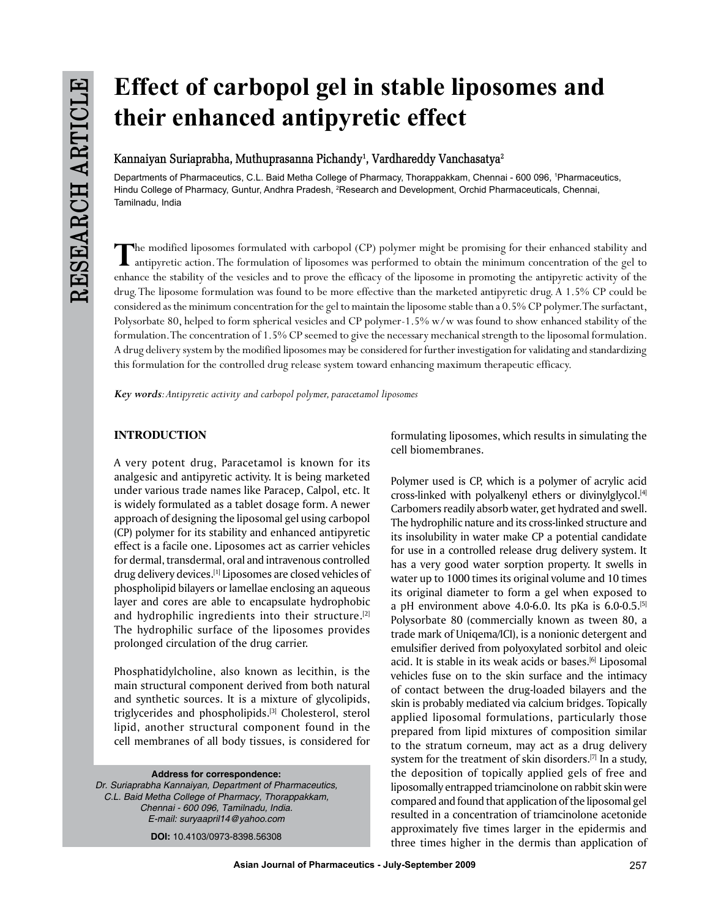# **Effect of carbopol gel in stable liposomes and their enhanced antipyretic effect**

## **Kannaiyan Suriaprabha, Muthuprasanna Pichandy1 , Vardhareddy Vanchasatya2**

Departments of Pharmaceutics, C.L. Baid Metha College of Pharmacy, Thorappakkam, Chennai - 600 096, 1 Pharmaceutics, Hindu College of Pharmacy, Guntur, Andhra Pradesh, <sup>2</sup>Research and Development, Orchid Pharmaceuticals, Chennai, Tamilnadu, India

The modified liposomes formulated with carbopol (CP) polymer might be promising for their enhanced stability and<br>antipyretic action. The formulation of liposomes was performed to obtain the minimum concentration of the gel enhance the stability of the vesicles and to prove the efficacy of the liposome in promoting the antipyretic activity of the drug. The liposome formulation was found to be more effective than the marketed antipyretic drug. A 1.5% CP could be considered as the minimum concentration for the gel to maintain the liposome stable than a 0.5% CP polymer. The surfactant, Polysorbate 80, helped to form spherical vesicles and CP polymer-1.5% w/w was found to show enhanced stability of the formulation. The concentration of 1.5% CP seemed to give the necessary mechanical strength to the liposomal formulation. A drug delivery system by the modified liposomes may be considered for further investigation for validating and standardizing this formulation for the controlled drug release system toward enhancing maximum therapeutic efficacy.

*Key words: Antipyretic activity and carbopol polymer, paracetamol liposomes*

## **INTRODUCTION**

A very potent drug, Paracetamol is known for its analgesic and antipyretic activity. It is being marketed under various trade names like Paracep, Calpol, etc. It is widely formulated as a tablet dosage form. A newer approach of designing the liposomal gel using carbopol (CP) polymer for its stability and enhanced antipyretic effect is a facile one. Liposomes act as carrier vehicles for dermal, transdermal, oral and intravenous controlled drug delivery devices.<sup>[1]</sup> Liposomes are closed vehicles of phospholipid bilayers or lamellae enclosing an aqueous layer and cores are able to encapsulate hydrophobic and hydrophilic ingredients into their structure.<sup>[2]</sup> The hydrophilic surface of the liposomes provides prolonged circulation of the drug carrier.

Phosphatidylcholine, also known as lecithin, is the main structural component derived from both natural and synthetic sources. It is a mixture of glycolipids, triglycerides and phospholipids.[3] Cholesterol, sterol lipid, another structural component found in the cell membranes of all body tissues, is considered for

**Address for correspondence:** *Dr. Suriaprabha Kannaiyan, Department of Pharmaceutics, C.L. Baid Metha College of Pharmacy, Thorappakkam, Chennai - 600 096, Tamilnadu, India. E-mail: suryaapril14@yahoo.com*

**DOI:** 10.4103/0973-8398.56308

formulating liposomes, which results in simulating the cell biomembranes.

Polymer used is CP, which is a polymer of acrylic acid cross-linked with polyalkenyl ethers or divinylglycol.[4] Carbomers readily absorb water, get hydrated and swell. The hydrophilic nature and its cross-linked structure and its insolubility in water make CP a potential candidate for use in a controlled release drug delivery system. It has a very good water sorption property. It swells in water up to 1000 times its original volume and 10 times its original diameter to form a gel when exposed to a pH environment above 4.0-6.0. Its pKa is 6.0-0.5.[5] Polysorbate 80 (commercially known as tween 80, a trade mark of Uniqema/ICI), is a nonionic detergent and emulsifier derived from polyoxylated sorbitol and oleic acid. It is stable in its weak acids or bases.<sup>[6]</sup> Liposomal vehicles fuse on to the skin surface and the intimacy of contact between the drug-loaded bilayers and the skin is probably mediated via calcium bridges. Topically applied liposomal formulations, particularly those prepared from lipid mixtures of composition similar to the stratum corneum, may act as a drug delivery system for the treatment of skin disorders.<sup>[7]</sup> In a study, the deposition of topically applied gels of free and liposomally entrapped triamcinolone on rabbit skin were compared and found that application of the liposomal gel resulted in a concentration of triamcinolone acetonide approximately five times larger in the epidermis and three times higher in the dermis than application of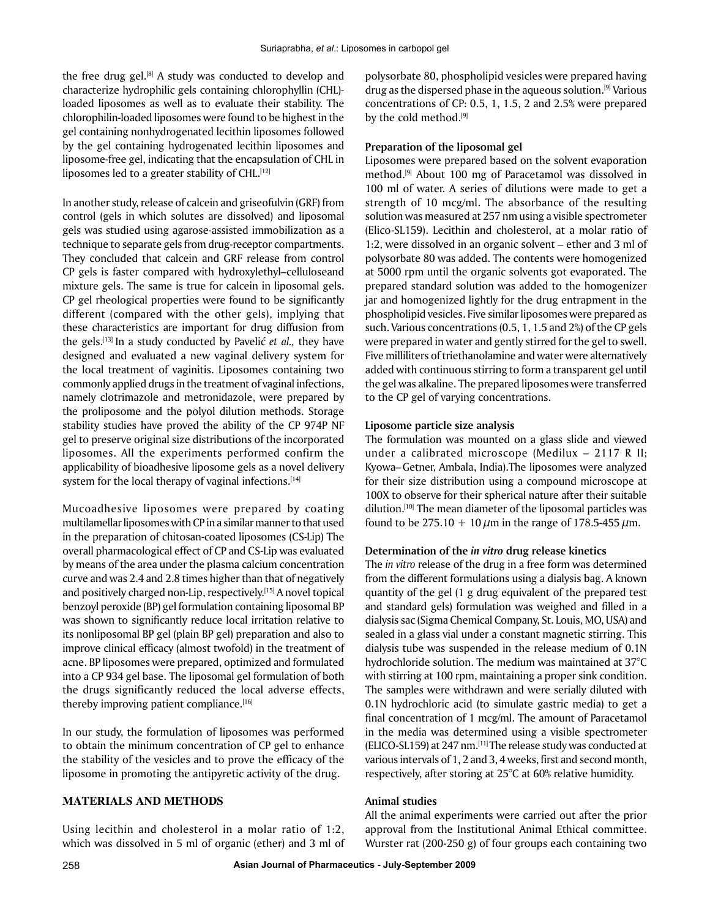the free drug gel. $[8]$  A study was conducted to develop and characterize hydrophilic gels containing chlorophyllin (CHL) loaded liposomes as well as to evaluate their stability. The chlorophilin-loaded liposomes were found to be highest in the gel containing nonhydrogenated lecithin liposomes followed by the gel containing hydrogenated lecithin liposomes and liposome-free gel, indicating that the encapsulation of CHL in liposomes led to a greater stability of CHL.<sup>[12]</sup>

In another study, release of calcein and griseofulvin (GRF) from control (gels in which solutes are dissolved) and liposomal gels was studied using agarose-assisted immobilization as a technique to separate gels from drug-receptor compartments. They concluded that calcein and GRF release from control CP gels is faster compared with hydroxylethyl–celluloseand mixture gels. The same is true for calcein in liposomal gels. CP gel rheological properties were found to be significantly different (compared with the other gels), implying that these characteristics are important for drug diffusion from the gels. [13] In a study conducted by Pavelić *et al.,* they have designed and evaluated a new vaginal delivery system for the local treatment of vaginitis. Liposomes containing two commonly applied drugs in the treatment of vaginal infections, namely clotrimazole and metronidazole, were prepared by the proliposome and the polyol dilution methods. Storage stability studies have proved the ability of the CP 974P NF gel to preserve original size distributions of the incorporated liposomes. All the experiments performed confirm the applicability of bioadhesive liposome gels as a novel delivery system for the local therapy of vaginal infections.<sup>[14]</sup>

Mucoadhesive liposomes were prepared by coating multilamellar liposomes with CP in a similar manner to that used in the preparation of chitosan-coated liposomes (CS-Lip) The overall pharmacological effect of CP and CS-Lip was evaluated by means of the area under the plasma calcium concentration curve and was 2.4 and 2.8 times higher than that of negatively and positively charged non-Lip, respectively.[15] A novel topical benzoyl peroxide (BP) gel formulation containing liposomal BP was shown to significantly reduce local irritation relative to its nonliposomal BP gel (plain BP gel) preparation and also to improve clinical efficacy (almost twofold) in the treatment of acne. BP liposomes were prepared, optimized and formulated into a CP 934 gel base. The liposomal gel formulation of both the drugs significantly reduced the local adverse effects, thereby improving patient compliance.<sup>[16]</sup>

In our study, the formulation of liposomes was performed to obtain the minimum concentration of CP gel to enhance the stability of the vesicles and to prove the efficacy of the liposome in promoting the antipyretic activity of the drug.

## **MATERIALS AND METHODS**

Using lecithin and cholesterol in a molar ratio of 1:2, which was dissolved in 5 ml of organic (ether) and 3 ml of polysorbate 80, phospholipid vesicles were prepared having drug as the dispersed phase in the aqueous solution.[9] Various concentrations of CP: 0.5, 1, 1.5, 2 and 2.5% were prepared by the cold method.<sup>[9]</sup>

#### **Preparation of the liposomal gel**

Liposomes were prepared based on the solvent evaporation method.[9] About 100 mg of Paracetamol was dissolved in 100 ml of water. A series of dilutions were made to get a strength of 10 mcg/ml. The absorbance of the resulting solution was measured at 257 nm using a visible spectrometer (Elico-SL159). Lecithin and cholesterol, at a molar ratio of 1:2, were dissolved in an organic solvent – ether and 3 ml of polysorbate 80 was added. The contents were homogenized at 5000 rpm until the organic solvents got evaporated. The prepared standard solution was added to the homogenizer jar and homogenized lightly for the drug entrapment in the phospholipid vesicles. Five similar liposomes were prepared as such. Various concentrations (0.5, 1, 1.5 and 2%) of the CP gels were prepared in water and gently stirred for the gel to swell. Five milliliters of triethanolamine and water were alternatively added with continuous stirring to form a transparent gel until the gel was alkaline. The prepared liposomes were transferred to the CP gel of varying concentrations.

#### **Liposome particle size analysis**

The formulation was mounted on a glass slide and viewed under a calibrated microscope (Medilux – 2117 R II; Kyowa–Getner, Ambala, India).The liposomes were analyzed for their size distribution using a compound microscope at 100X to observe for their spherical nature after their suitable dilution.<sup>[10]</sup> The mean diameter of the liposomal particles was found to be 275.10 + 10  $\mu$ m in the range of 178.5-455  $\mu$ m.

#### **Determination of the** *in vitro* **drug release kinetics**

The *in vitro* release of the drug in a free form was determined from the different formulations using a dialysis bag. A known quantity of the gel (1 g drug equivalent of the prepared test and standard gels) formulation was weighed and filled in a dialysis sac (Sigma Chemical Company, St. Louis, MO, USA) and sealed in a glass vial under a constant magnetic stirring. This dialysis tube was suspended in the release medium of 0.1N hydrochloride solution. The medium was maintained at 37°C with stirring at 100 rpm, maintaining a proper sink condition. The samples were withdrawn and were serially diluted with 0.1N hydrochloric acid (to simulate gastric media) to get a final concentration of 1 mcg/ml. The amount of Paracetamol in the media was determined using a visible spectrometer (ELICO-SL159) at 247 nm.[11] The release study was conducted at various intervals of 1, 2 and 3, 4 weeks, first and second month, respectively, after storing at 25°C at 60% relative humidity.

#### **Animal studies**

All the animal experiments were carried out after the prior approval from the Institutional Animal Ethical committee. Wurster rat (200-250 g) of four groups each containing two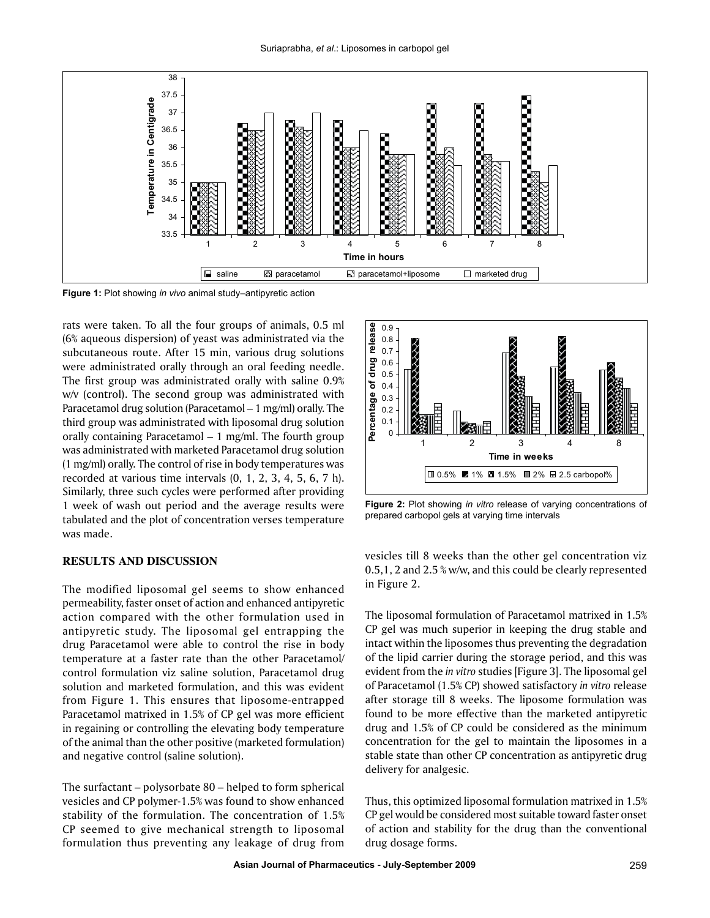

**Figure 1:** Plot showing *in vivo* animal study–antipyretic action

rats were taken. To all the four groups of animals, 0.5 ml (6% aqueous dispersion) of yeast was administrated via the subcutaneous route. After 15 min, various drug solutions were administrated orally through an oral feeding needle. The first group was administrated orally with saline 0.9% w/v (control). The second group was administrated with Paracetamol drug solution (Paracetamol – 1 mg/ml) orally. The third group was administrated with liposomal drug solution orally containing Paracetamol – 1 mg/ml. The fourth group was administrated with marketed Paracetamol drug solution (1 mg/ml) orally. The control of rise in body temperatures was recorded at various time intervals (0, 1, 2, 3, 4, 5, 6, 7 h). Similarly, three such cycles were performed after providing 1 week of wash out period and the average results were tabulated and the plot of concentration verses temperature was made.

### **RESULTS AND DISCUSSION**

The modified liposomal gel seems to show enhanced permeability, faster onset of action and enhanced antipyretic action compared with the other formulation used in antipyretic study. The liposomal gel entrapping the drug Paracetamol were able to control the rise in body temperature at a faster rate than the other Paracetamol/ control formulation viz saline solution, Paracetamol drug solution and marketed formulation, and this was evident from Figure 1. This ensures that liposome-entrapped Paracetamol matrixed in 1.5% of CP gel was more efficient in regaining or controlling the elevating body temperature of the animal than the other positive (marketed formulation) and negative control (saline solution).

The surfactant – polysorbate 80 – helped to form spherical vesicles and CP polymer-1.5% was found to show enhanced stability of the formulation. The concentration of 1.5% CP seemed to give mechanical strength to liposomal formulation thus preventing any leakage of drug from



**Figure 2:** Plot showing *in vitro* release of varying concentrations of prepared carbopol gels at varying time intervals

vesicles till 8 weeks than the other gel concentration viz 0.5,1, 2 and 2.5 % w/w, and this could be clearly represented in Figure 2.

The liposomal formulation of Paracetamol matrixed in 1.5% CP gel was much superior in keeping the drug stable and intact within the liposomes thus preventing the degradation of the lipid carrier during the storage period, and this was evident from the *in vitro* studies [Figure 3]. The liposomal gel of Paracetamol (1.5% CP) showed satisfactory *in vitro* release after storage till 8 weeks. The liposome formulation was found to be more effective than the marketed antipyretic drug and 1.5% of CP could be considered as the minimum concentration for the gel to maintain the liposomes in a stable state than other CP concentration as antipyretic drug delivery for analgesic.

Thus, this optimized liposomal formulation matrixed in 1.5% CP gel would be considered most suitable toward faster onset of action and stability for the drug than the conventional drug dosage forms.